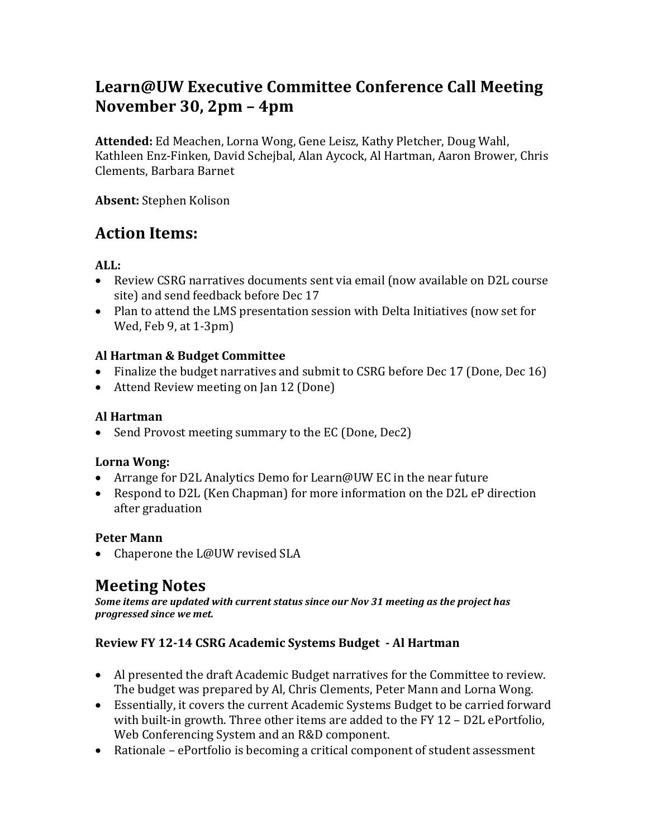# **Learn@UW Executive Committee Conference Call Meeting November 30, 2pm – 4pm**

**Attended:** Ed Meachen, Lorna Wong, Gene Leisz, Kathy Pletcher, Doug Wahl, Kathleen Enz-Finken, David Schejbal, Alan Aycock, Al Hartman, Aaron Brower, Chris Clements, Barbara Barnet

**Absent:** Stephen Kolison

# **Action Items:**

**ALL:** 

- Review CSRG narratives documents sent via email (now available on D2L course site) and send feedback before Dec 17
- Plan to attend the LMS presentation session with Delta Initiatives (now set for Wed, Feb 9, at 1-3pm)

### **Al Hartman & Budget Committee**

- Finalize the budget narratives and submit to CSRG before Dec 17 (Done, Dec 16)
- Attend Review meeting on Jan 12 (Done)

### **Al Hartman**

• Send Provost meeting summary to the EC (Done, Dec2)

#### **Lorna Wong:**

- Arrange for D2L Analytics Demo for Learn@UW EC in the near future
- Respond to D2L (Ken Chapman) for more information on the D2L eP direction after graduation

# **Peter Mann**

• Chaperone the L@UW revised SLA

# **Meeting Notes**

*Some items are updated with current status since our Nov 31 meeting as the project has progressed since we met.*

# **Review FY 12-14 CSRG Academic Systems Budget - Al Hartman**

- Al presented the draft Academic Budget narratives for the Committee to review. The budget was prepared by Al, Chris Clements, Peter Mann and Lorna Wong.
- Essentially, it covers the current Academic Systems Budget to be carried forward with built-in growth. Three other items are added to the FY 12 – D2L ePortfolio, Web Conferencing System and an R&D component.
- Rationale ePortfolio is becoming a critical component of student assessment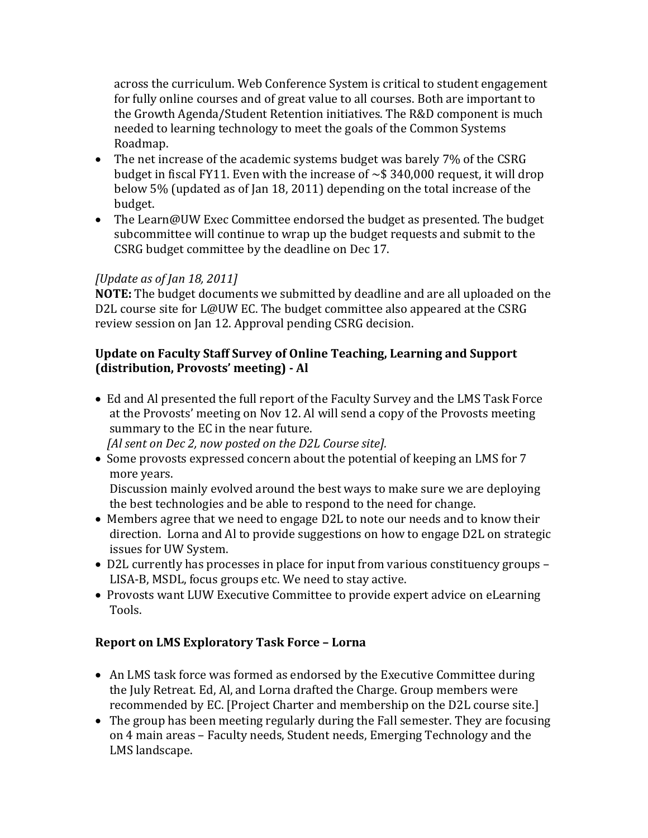across the curriculum. Web Conference System is critical to student engagement for fully online courses and of great value to all courses. Both are important to the Growth Agenda/Student Retention initiatives. The R&D component is much needed to learning technology to meet the goals of the Common Systems Roadmap.

- The net increase of the academic systems budget was barely 7% of the CSRG budget in fiscal FY11. Even with the increase of  $\sim$  \$340,000 request, it will drop below 5% (updated as of Jan 18, 2011) depending on the total increase of the budget.
- The Learn@UW Exec Committee endorsed the budget as presented. The budget subcommittee will continue to wrap up the budget requests and submit to the CSRG budget committee by the deadline on Dec 17.

#### *[Update as of Jan 18, 2011]*

**NOTE:** The budget documents we submitted by deadline and are all uploaded on the D2L course site for L@UW EC. The budget committee also appeared at the CSRG review session on Jan 12. Approval pending CSRG decision.

#### **Update on Faculty Staff Survey of Online Teaching, Learning and Support (distribution, Provosts' meeting) - Al**

• Ed and Al presented the full report of the Faculty Survey and the LMS Task Force at the Provosts' meeting on Nov 12. Al will send a copy of the Provosts meeting summary to the EC in the near future.

*[Al sent on Dec 2, now posted on the D2L Course site].*

• Some provosts expressed concern about the potential of keeping an LMS for 7 more years.

Discussion mainly evolved around the best ways to make sure we are deploying the best technologies and be able to respond to the need for change.

- Members agree that we need to engage D2L to note our needs and to know their direction. Lorna and Al to provide suggestions on how to engage D2L on strategic issues for UW System.
- D2L currently has processes in place for input from various constituency groups LISA-B, MSDL, focus groups etc. We need to stay active.
- Provosts want LUW Executive Committee to provide expert advice on eLearning Tools.

#### **Report on LMS Exploratory Task Force – Lorna**

- An LMS task force was formed as endorsed by the Executive Committee during the July Retreat. Ed, Al, and Lorna drafted the Charge. Group members were recommended by EC. [Project Charter and membership on the D2L course site.]
- The group has been meeting regularly during the Fall semester. They are focusing on 4 main areas – Faculty needs, Student needs, Emerging Technology and the LMS landscape.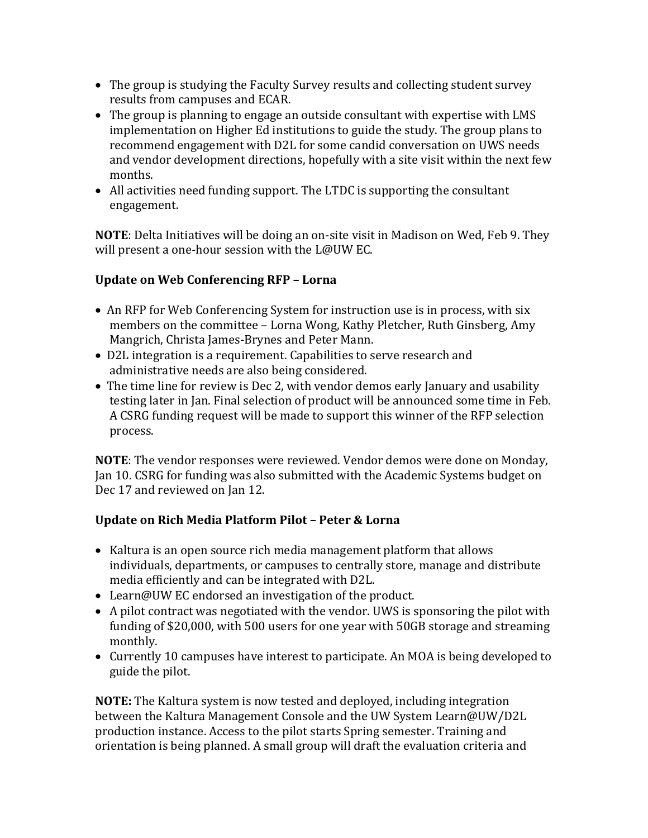- The group is studying the Faculty Survey results and collecting student survey results from campuses and ECAR.
- The group is planning to engage an outside consultant with expertise with LMS implementation on Higher Ed institutions to guide the study. The group plans to recommend engagement with D2L for some candid conversation on UWS needs and vendor development directions, hopefully with a site visit within the next few months.
- All activities need funding support. The LTDC is supporting the consultant engagement.

**NOTE**: Delta Initiatives will be doing an on-site visit in Madison on Wed, Feb 9. They will present a one-hour session with the L@UW EC.

### **Update on Web Conferencing RFP – Lorna**

- An RFP for Web Conferencing System for instruction use is in process, with six members on the committee – Lorna Wong, Kathy Pletcher, Ruth Ginsberg, Amy Mangrich, Christa James-Brynes and Peter Mann.
- D2L integration is a requirement. Capabilities to serve research and administrative needs are also being considered.
- The time line for review is Dec 2, with vendor demos early January and usability testing later in Jan. Final selection of product will be announced some time in Feb. A CSRG funding request will be made to support this winner of the RFP selection process.

**NOTE**: The vendor responses were reviewed. Vendor demos were done on Monday, Jan 10. CSRG for funding was also submitted with the Academic Systems budget on Dec 17 and reviewed on Jan 12.

#### **Update on Rich Media Platform Pilot – Peter & Lorna**

- Kaltura is an open source rich media management platform that allows individuals, departments, or campuses to centrally store, manage and distribute media efficiently and can be integrated with D2L.
- Learn@UW EC endorsed an investigation of the product.
- A pilot contract was negotiated with the vendor. UWS is sponsoring the pilot with funding of \$20,000, with 500 users for one year with 50GB storage and streaming monthly.
- Currently 10 campuses have interest to participate. An MOA is being developed to guide the pilot.

**NOTE:** The Kaltura system is now tested and deployed, including integration between the Kaltura Management Console and the UW System Learn@UW/D2L production instance. Access to the pilot starts Spring semester. Training and orientation is being planned. A small group will draft the evaluation criteria and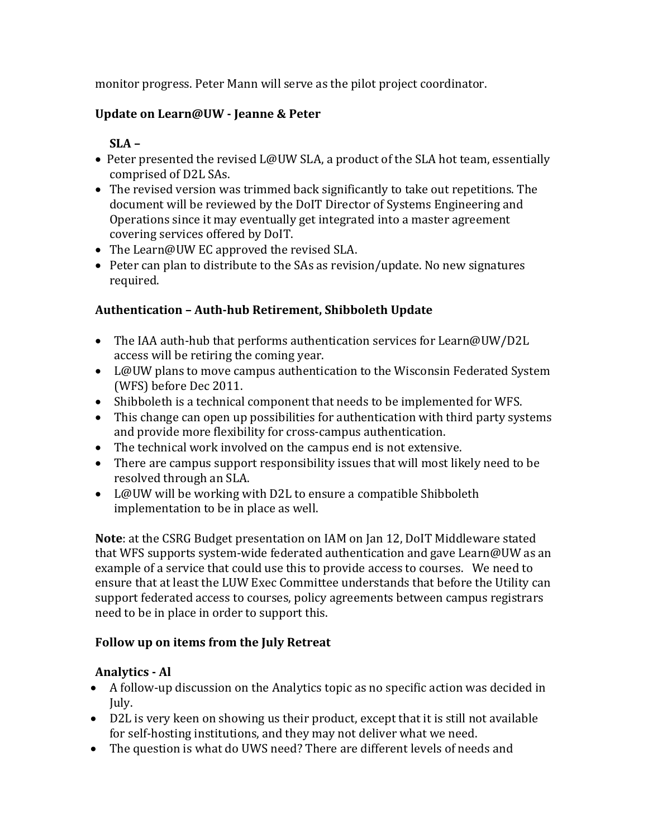monitor progress. Peter Mann will serve as the pilot project coordinator.

#### **Update on Learn@UW - Jeanne & Peter**

# **SLA –**

- Peter presented the revised L@UW SLA, a product of the SLA hot team, essentially comprised of D2L SAs.
- The revised version was trimmed back significantly to take out repetitions. The document will be reviewed by the DoIT Director of Systems Engineering and Operations since it may eventually get integrated into a master agreement covering services offered by DoIT.
- The Learn@UW EC approved the revised SLA.
- Peter can plan to distribute to the SAs as revision/update. No new signatures required.

# **Authentication – Auth-hub Retirement, Shibboleth Update**

- The IAA auth-hub that performs authentication services for Learn@UW/D2L access will be retiring the coming year.
- L@UW plans to move campus authentication to the Wisconsin Federated System (WFS) before Dec 2011.
- Shibboleth is a technical component that needs to be implemented for WFS.
- This change can open up possibilities for authentication with third party systems and provide more flexibility for cross-campus authentication.
- The technical work involved on the campus end is not extensive.
- There are campus support responsibility issues that will most likely need to be resolved through an SLA.
- L@UW will be working with D2L to ensure a compatible Shibboleth implementation to be in place as well.

**Note**: at the CSRG Budget presentation on IAM on Jan 12, DoIT Middleware stated that WFS supports system-wide federated authentication and gave Learn@UW as an example of a service that could use this to provide access to courses. We need to ensure that at least the LUW Exec Committee understands that before the Utility can support federated access to courses, policy agreements between campus registrars need to be in place in order to support this.

# **Follow up on items from the July Retreat**

# **Analytics - Al**

- A follow-up discussion on the Analytics topic as no specific action was decided in July.
- D2L is very keen on showing us their product, except that it is still not available for self-hosting institutions, and they may not deliver what we need.
- The question is what do UWS need? There are different levels of needs and